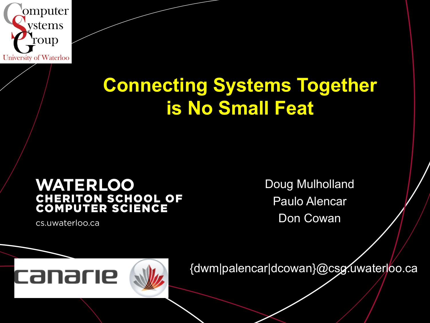

### **Connecting Systems Together is No Small Feat**

### **WATERLOO CHERITON SCHOOL OF<br>COMPUTER SCIENCE**

cs.uwaterloo.ca

Doug Mulholland Paulo Alencar Don Cowan

### canarie

{dwm|palencar|dcowan}@csg.uwaterloo.ca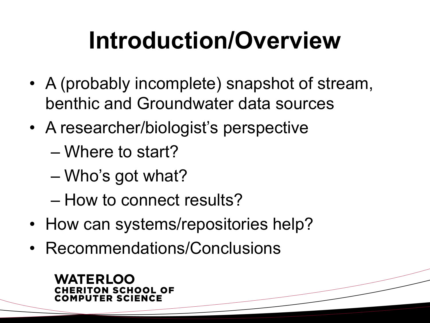## **Introduction/Overview**

- A (probably incomplete) snapshot of stream, benthic and Groundwater data sources
- A researcher/biologist's perspective
	- Where to start?
	- Who's got what?
	- How to connect results?
- How can systems/repositories help?
- Recommendations/Conclusions

#### WATERI OO TON SCHOOL OF MPUTER SCIENCE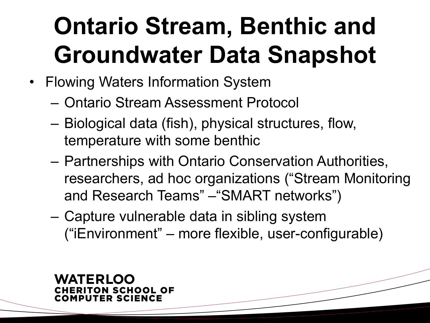## **Ontario Stream, Benthic and Groundwater Data Snapshot**

- Flowing Waters Information System
	- Ontario Stream Assessment Protocol
	- Biological data (fish), physical structures, flow, temperature with some benthic
	- Partnerships with Ontario Conservation Authorities, researchers, ad hoc organizations ("Stream Monitoring and Research Teams" –"SMART networks")
	- Capture vulnerable data in sibling system ("iEnvironment" – more flexible, user-configurable)

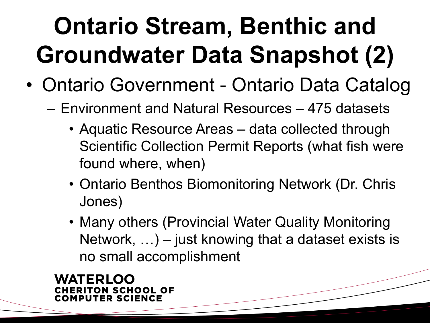# **Ontario Stream, Benthic and Groundwater Data Snapshot (2)**

- Ontario Government Ontario Data Catalog
	- Environment and Natural Resources 475 datasets
		- Aquatic Resource Areas data collected through Scientific Collection Permit Reports (what fish were found where, when)
		- Ontario Benthos Biomonitoring Network (Dr. Chris Jones)
		- Many others (Provincial Water Quality Monitoring Network, …) – just knowing that a dataset exists is no small accomplishment

WATERI OO ERITON SCHOOL OF **MPUTER SCIENCE**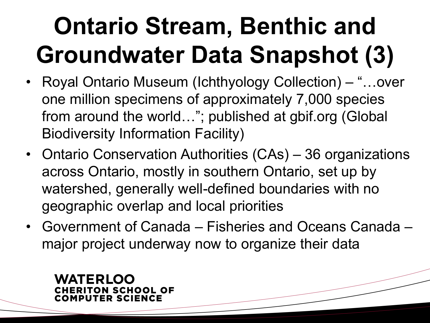# **Ontario Stream, Benthic and Groundwater Data Snapshot (3)**

- Royal Ontario Museum (Ichthyology Collection) "...over one million specimens of approximately 7,000 species from around the world…"; published at gbif.org (Global Biodiversity Information Facility)
- Ontario Conservation Authorities (CAs) 36 organizations across Ontario, mostly in southern Ontario, set up by watershed, generally well-defined boundaries with no geographic overlap and local priorities
- Government of Canada Fisheries and Oceans Canada major project underway now to organize their data

#### ATERI OO ERITON SCHOOL OF **MPUTER SCIENCE**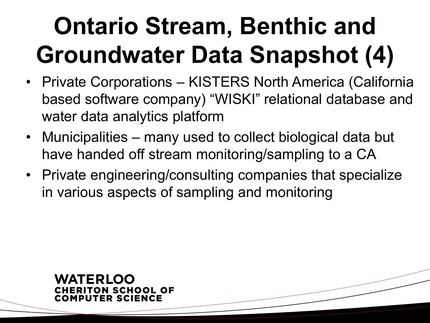# **Ontario Stream, Benthic and Groundwater Data Snapshot (4)**

- Private Corporations KISTERS North America (California based software company) "WISKI" relational database and water data analytics platform
- Municipalities many used to collect biological data but have handed off stream monitoring/sampling to a CA
- Private engineering/consulting companies that specialize in various aspects of sampling and monitoring

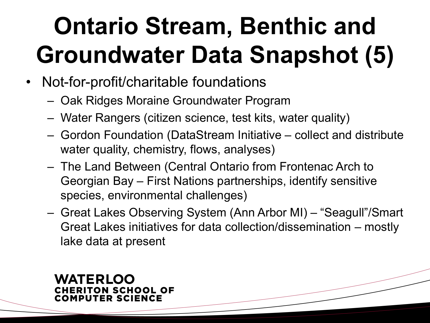# **Ontario Stream, Benthic and Groundwater Data Snapshot (5)**

- Not-for-profit/charitable foundations
	- Oak Ridges Moraine Groundwater Program
	- Water Rangers (citizen science, test kits, water quality)
	- Gordon Foundation (DataStream Initiative collect and distribute water quality, chemistry, flows, analyses)
	- The Land Between (Central Ontario from Frontenac Arch to Georgian Bay – First Nations partnerships, identify sensitive species, environmental challenges)
	- Great Lakes Observing System (Ann Arbor MI) "Seagull"/Smart Great Lakes initiatives for data collection/dissemination – mostly lake data at present

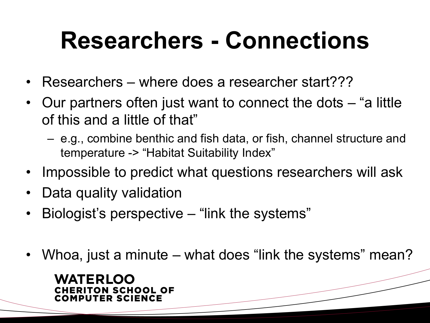### **Researchers - Connections**

- Researchers where does a researcher start???
- Our partners often just want to connect the dots "a little of this and a little of that"
	- e.g., combine benthic and fish data, or fish, channel structure and temperature -> "Habitat Suitability Index"
- Impossible to predict what questions researchers will ask
- Data quality validation
- Biologist's perspective "link the systems"
- Whoa, just a minute what does "link the systems" mean?

#### **WATERLOO** ERITON SCHOOL OF MPUTER SCIENCE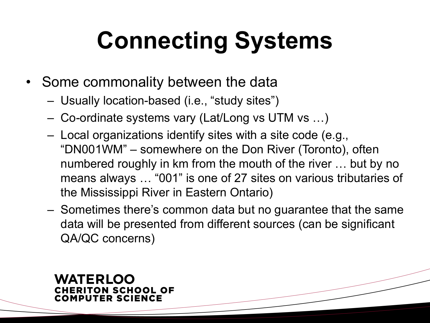## **Connecting Systems**

- Some commonality between the data
	- Usually location-based (i.e., "study sites")
	- Co-ordinate systems vary (Lat/Long vs UTM vs …)
	- Local organizations identify sites with a site code (e.g., "DN001WM" – somewhere on the Don River (Toronto), often numbered roughly in km from the mouth of the river … but by no means always … "001" is one of 27 sites on various tributaries of the Mississippi River in Eastern Ontario)
	- Sometimes there's common data but no guarantee that the same data will be presented from different sources (can be significant QA/QC concerns)

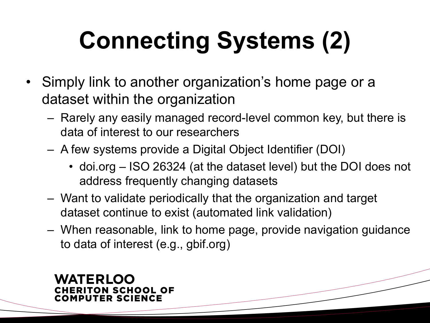# **Connecting Systems (2)**

- Simply link to another organization's home page or a dataset within the organization
	- Rarely any easily managed record-level common key, but there is data of interest to our researchers
	- A few systems provide a Digital Object Identifier (DOI)
		- doi.org ISO 26324 (at the dataset level) but the DOI does not address frequently changing datasets
	- Want to validate periodically that the organization and target dataset continue to exist (automated link validation)
	- When reasonable, link to home page, provide navigation guidance to data of interest (e.g., gbif.org)

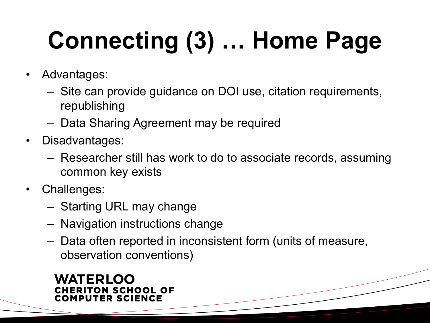# **Connecting (3) … Home Page**

- Advantages:
	- Site can provide guidance on DOI use, citation requirements, republishing
	- Data Sharing Agreement may be required
- Disadvantages:
	- Researcher still has work to do to associate records, assuming common key exists
- Challenges:
	- Starting URL may change
	- Navigation instructions change
	- Data often reported in inconsistent form (units of measure, observation conventions)

#### **WATERLOO CHERITON SCHOOL OF COMPUTER SCIENCE**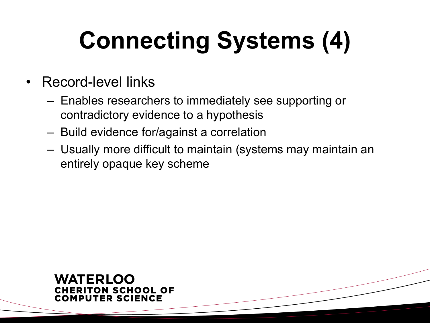# **Connecting Systems (4)**

- Record-level links
	- Enables researchers to immediately see supporting or contradictory evidence to a hypothesis
	- Build evidence for/against a correlation
	- Usually more difficult to maintain (systems may maintain an entirely opaque key scheme

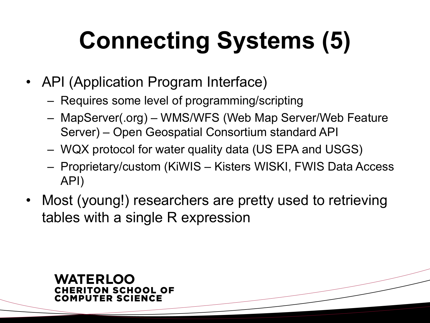# **Connecting Systems (5)**

- API (Application Program Interface)
	- Requires some level of programming/scripting
	- MapServer(.org) WMS/WFS (Web Map Server/Web Feature Server) – Open Geospatial Consortium standard API
	- WQX protocol for water quality data (US EPA and USGS)
	- Proprietary/custom (KiWIS Kisters WISKI, FWIS Data Access API)
- Most (young!) researchers are pretty used to retrieving tables with a single R expression

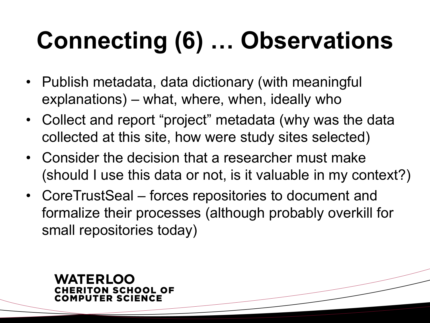# **Connecting (6) … Observations**

- Publish metadata, data dictionary (with meaningful explanations) – what, where, when, ideally who
- Collect and report "project" metadata (why was the data collected at this site, how were study sites selected)
- Consider the decision that a researcher must make (should I use this data or not, is it valuable in my context?)
- CoreTrustSeal forces repositories to document and formalize their processes (although probably overkill for small repositories today)

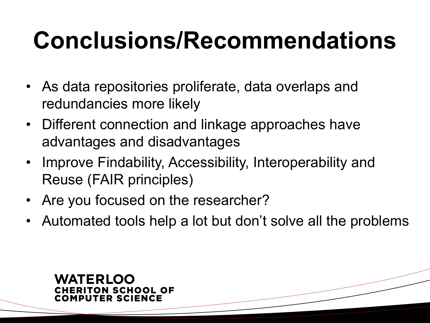### **Conclusions/Recommendations**

- As data repositories proliferate, data overlaps and redundancies more likely
- Different connection and linkage approaches have advantages and disadvantages
- Improve Findability, Accessibility, Interoperability and Reuse (FAIR principles)
- Are you focused on the researcher?
- Automated tools help a lot but don't solve all the problems